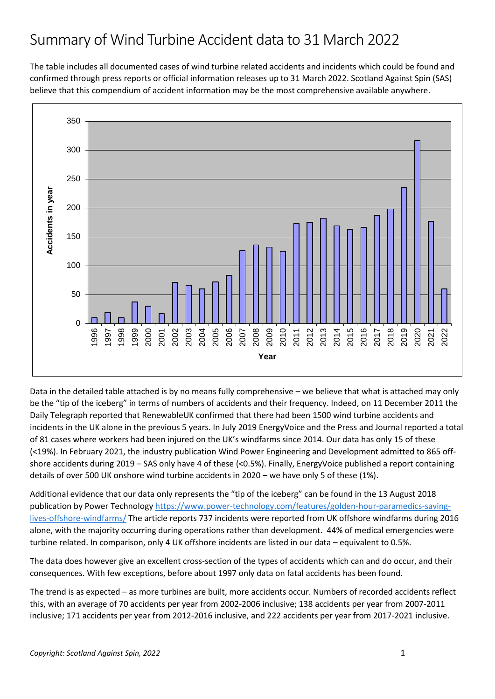The table includes all documented cases of wind turbine related accidents and incidents which could be found and confirmed through press reports or official information releases up to 31 March 2022. Scotland Against Spin (SAS) believe that this compendium of accident information may be the most comprehensive available anywhere.



Data in the detailed table attached is by no means fully comprehensive – we believe that what is attached may only be the "tip of the iceberg" in terms of numbers of accidents and their frequency. Indeed, on 11 December 2011 the Daily Telegraph reported that RenewableUK confirmed that there had been 1500 wind turbine accidents and incidents in the UK alone in the previous 5 years. In July 2019 EnergyVoice and the Press and Journal reported a total of 81 cases where workers had been injured on the UK's windfarms since 2014. Our data has only 15 of these (<19%). In February 2021, the industry publication Wind Power Engineering and Development admitted to 865 offshore accidents during 2019 – SAS only have 4 of these (<0.5%). Finally, EnergyVoice published a report containing details of over 500 UK onshore wind turbine accidents in 2020 – we have only 5 of these (1%).

Additional evidence that our data only represents the "tip of the iceberg" can be found in the 13 August 2018 publication by Power Technology [https://www.power-technology.com/features/golden-hour-paramedics-saving](https://www.power-technology.com/features/golden-hour-paramedics-saving-lives-offshore-windfarms/)[lives-offshore-windfarms/](https://www.power-technology.com/features/golden-hour-paramedics-saving-lives-offshore-windfarms/) The article reports 737 incidents were reported from UK offshore windfarms during 2016 alone, with the majority occurring during operations rather than development. 44% of medical emergencies were turbine related. In comparison, only 4 UK offshore incidents are listed in our data – equivalent to 0.5%.

The data does however give an excellent cross-section of the types of accidents which can and do occur, and their consequences. With few exceptions, before about 1997 only data on fatal accidents has been found.

The trend is as expected – as more turbines are built, more accidents occur. Numbers of recorded accidents reflect this, with an average of 70 accidents per year from 2002-2006 inclusive; 138 accidents per year from 2007-2011 inclusive; 171 accidents per year from 2012-2016 inclusive, and 222 accidents per year from 2017-2021 inclusive.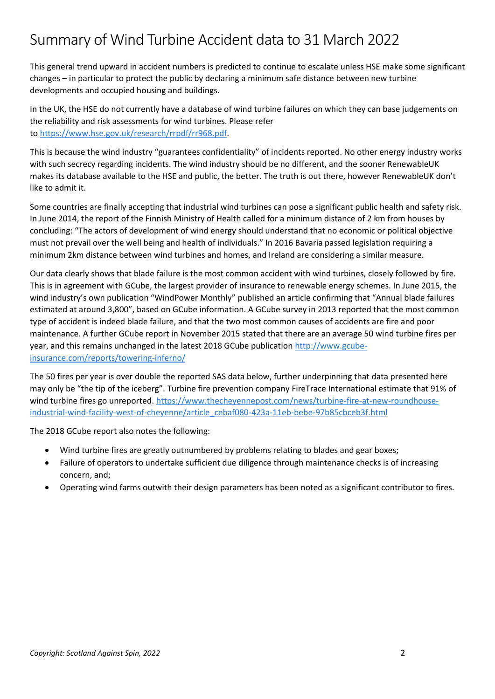This general trend upward in accident numbers is predicted to continue to escalate unless HSE make some significant changes – in particular to protect the public by declaring a minimum safe distance between new turbine developments and occupied housing and buildings.

In the UK, the HSE do not currently have a database of wind turbine failures on which they can base judgements on the reliability and risk assessments for wind turbines. Please refer to [https://www.hse.gov.uk/research/rrpdf/rr968.pdf.](https://www.hse.gov.uk/research/rrpdf/rr968.pdf)

This is because the wind industry "guarantees confidentiality" of incidents reported. No other energy industry works with such secrecy regarding incidents. The wind industry should be no different, and the sooner RenewableUK makes its database available to the HSE and public, the better. The truth is out there, however RenewableUK don't like to admit it.

Some countries are finally accepting that industrial wind turbines can pose a significant public health and safety risk. In June 2014, the report of the Finnish Ministry of Health called for a minimum distance of 2 km from houses by concluding: "The actors of development of wind energy should understand that no economic or political objective must not prevail over the well being and health of individuals." In 2016 Bavaria passed legislation requiring a minimum 2km distance between wind turbines and homes, and Ireland are considering a similar measure.

Our data clearly shows that blade failure is the most common accident with wind turbines, closely followed by fire. This is in agreement with GCube, the largest provider of insurance to renewable energy schemes. In June 2015, the wind industry's own publication "WindPower Monthly" published an article confirming that "Annual blade failures estimated at around 3,800", based on GCube information. A GCube survey in 2013 reported that the most common type of accident is indeed blade failure, and that the two most common causes of accidents are fire and poor maintenance. A further GCube report in November 2015 stated that there are an average 50 wind turbine fires per year, and this remains unchanged in the latest 2018 GCube publication [http://www.gcube](http://www.gcube-insurance.com/reports/towering-inferno/)[insurance.com/reports/towering-inferno/](http://www.gcube-insurance.com/reports/towering-inferno/)

The 50 fires per year is over double the reported SAS data below, further underpinning that data presented here may only be "the tip of the iceberg". Turbine fire prevention company FireTrace International estimate that 91% of wind turbine fires go unreported. [https://www.thecheyennepost.com/news/turbine-fire-at-new-roundhouse](https://www.thecheyennepost.com/news/turbine-fire-at-new-roundhouse-industrial-wind-facility-west-of-cheyenne/article_cebaf080-423a-11eb-bebe-97b85cbceb3f.html)[industrial-wind-facility-west-of-cheyenne/article\\_cebaf080-423a-11eb-bebe-97b85cbceb3f.html](https://www.thecheyennepost.com/news/turbine-fire-at-new-roundhouse-industrial-wind-facility-west-of-cheyenne/article_cebaf080-423a-11eb-bebe-97b85cbceb3f.html)

The 2018 GCube report also notes the following:

- Wind turbine fires are greatly outnumbered by problems relating to blades and gear boxes;
- Failure of operators to undertake sufficient due diligence through maintenance checks is of increasing concern, and;
- Operating wind farms outwith their design parameters has been noted as a significant contributor to fires.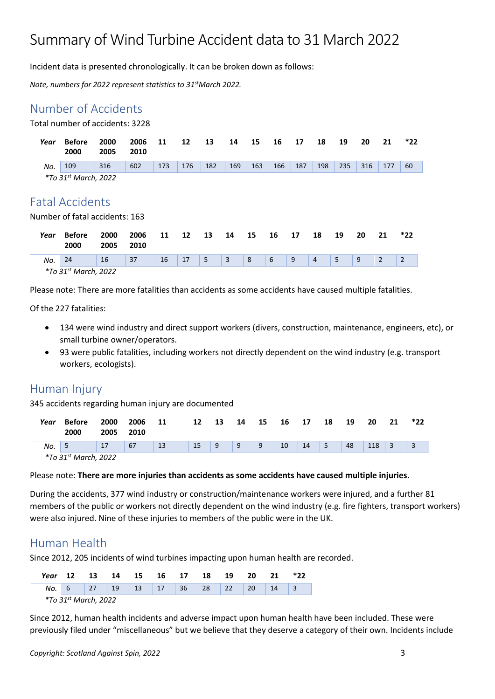Incident data is presented chronologically. It can be broken down as follows:

*Note, numbers for 2022 represent statistics to 31 stMarch 2022.*

### [Number of Accidents](https://scotlandagainstspin.org/?page_id=25433&preview=true)

Total number of accidents: 3228

| Year | <b>Before</b><br>2000          | 2000<br>2005 | 2006<br>2010 | 11  | 12  | 13  | 14  | 15  | 16  | 17  | 18  | 19  | 20  | 21  | *22 |
|------|--------------------------------|--------------|--------------|-----|-----|-----|-----|-----|-----|-----|-----|-----|-----|-----|-----|
| No.  | 109                            | 316          | 602          | 173 | 176 | 182 | 169 | 163 | 166 | 187 | 198 | 235 | 316 | 177 | 60  |
|      | $*$ To 31st March, 2022        |              |              |     |     |     |     |     |     |     |     |     |     |     |     |
|      |                                |              |              |     |     |     |     |     |     |     |     |     |     |     |     |
|      | <b>Fatal Accidents</b>         |              |              |     |     |     |     |     |     |     |     |     |     |     |     |
|      | Number of fatal accidents: 163 |              |              |     |     |     |     |     |     |     |     |     |     |     |     |
| Year | <b>Before</b><br>2000          | 2000<br>2005 | 2006<br>2010 | 11  | 12  | 13  | 14  | 15  | 16  | 17  | 18  | 19  | 20  | 21  | *22 |

Please note: There are more fatalities than accidents as some accidents have caused multiple fatalities.

*No.* 24 16 37 16 17 5 3 8 6 9 4 5 9 2 2

Of the 227 fatalities:

*\*To 31st March, 2022*

- 134 were wind industry and direct support workers (divers, construction, maintenance, engineers, etc), or small turbine owner/operators.
- 93 were public fatalities, including workers not directly dependent on the wind industry (e.g. transport workers, ecologists).

#### [Human Injury](https://scotlandagainstspin.org/?page_id=25433&preview=true)

345 accidents regarding human injury are documented

| Year | <b>Before</b><br>2000  | 2000<br>2005 | 2006<br>2010 | 11 | 12 | 13 | 14 | 15 | 16 | 17 | 18 | 19 | 20  | 21 | *22 |
|------|------------------------|--------------|--------------|----|----|----|----|----|----|----|----|----|-----|----|-----|
| No.  | - 5                    | 17           | 67           | 13 | 15 | -9 | 9  | q  | 10 | 14 | 5  | 48 | 118 | 3  |     |
|      | $*T_0$ 21st March 2022 |              |              |    |    |    |    |    |    |    |    |    |     |    |     |

*\*To 31st March, 2022*

#### Please note: **There are more injuries than accidents as some accidents have caused multiple injuries**.

During the accidents, 377 wind industry or construction/maintenance workers were injured, and a further 81 members of the public or workers not directly dependent on the wind industry (e.g. fire fighters, transport workers) were also injured. Nine of these injuries to members of the public were in the UK.

#### Human Health

Since 2012, 205 incidents of wind turbines impacting upon human health are recorded.

| Year                             | 12 | 13 | -14 |  |  | 15 16 17 18          |                                                         | 19 | -20       | -21 |  |
|----------------------------------|----|----|-----|--|--|----------------------|---------------------------------------------------------|----|-----------|-----|--|
|                                  |    |    |     |  |  | No. 6 27 19 13 17 36 | $\begin{array}{ c c c c c } \hline 28 & 22 \end{array}$ |    | <b>20</b> | 14  |  |
| *To 31 <sup>st</sup> March, 2022 |    |    |     |  |  |                      |                                                         |    |           |     |  |

Since 2012, human health incidents and adverse impact upon human health have been included. These were previously filed under "miscellaneous" but we believe that they deserve a category of their own. Incidents include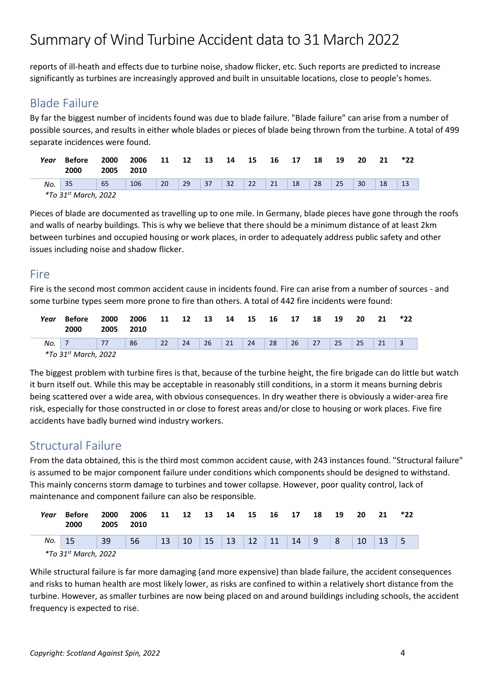reports of ill-heath and effects due to turbine noise, shadow flicker, etc. Such reports are predicted to increase significantly as turbines are increasingly approved and built in unsuitable locations, close to people's homes.

### Blade Failure

By far the biggest number of incidents found was due to blade failure. "Blade failure" can arise from a number of possible sources, and results in either whole blades or pieces of blade being thrown from the turbine. A total of 499 separate incidences were found.

| Year | Before<br>2000                   | 2000<br>2005 | 2006<br>2010 | 11 | 12 | 13 | 14 | 15 | 16 | 17 | 18 | 19 | 20 | 21 | *22 |
|------|----------------------------------|--------------|--------------|----|----|----|----|----|----|----|----|----|----|----|-----|
| No.  | 35                               | 65           | 106          | 20 | 29 | 37 | 32 | 22 | 21 | 18 | 28 | 25 | 30 | 18 | 13  |
|      | *To 31 <sup>st</sup> March, 2022 |              |              |    |    |    |    |    |    |    |    |    |    |    |     |

Pieces of blade are documented as travelling up to one mile. In Germany, blade pieces have gone through the roofs and walls of nearby buildings. This is why we believe that there should be a minimum distance of at least 2km between turbines and occupied housing or work places, in order to adequately address public safety and other issues including noise and shadow flicker.

#### Fire

Fire is the second most common accident cause in incidents found. Fire can arise from a number of sources - and some turbine types seem more prone to fire than others. A total of 442 fire incidents were found:

| Year | Before<br>2000                   | 2000<br>2005 | 2006<br>2010 | 11 | 12 | - 13            | 14 | 15 | 16 | 17 | 18 | 19 | 20 | 21 | *22 |
|------|----------------------------------|--------------|--------------|----|----|-----------------|----|----|----|----|----|----|----|----|-----|
| No.  |                                  |              | 86           | 22 | 24 | 26 <sup>7</sup> | 21 | 24 | 28 | 26 | 27 | 25 | 25 |    |     |
|      | *To 31 <sup>st</sup> March, 2022 |              |              |    |    |                 |    |    |    |    |    |    |    |    |     |

The biggest problem with turbine fires is that, because of the turbine height, the fire brigade can do little but watch it burn itself out. While this may be acceptable in reasonably still conditions, in a storm it means burning debris being scattered over a wide area, with obvious consequences. In dry weather there is obviously a wider-area fire risk, especially for those constructed in or close to forest areas and/or close to housing or work places. Five fire accidents have badly burned wind industry workers.

### Structural Failure

From the data obtained, this is the third most common accident cause, with 243 instances found. "Structural failure" is assumed to be major component failure under conditions which components should be designed to withstand. This mainly concerns storm damage to turbines and tower collapse. However, poor quality control, lack of maintenance and component failure can also be responsible.

| Year | Before<br>2000         | 2000<br>2005 | 2006<br>2010 | 11 | 12 | - 13 | -14 | - 15 | 16         | 17 | 18  | 19             | 20 | 21 | *22 |
|------|------------------------|--------------|--------------|----|----|------|-----|------|------------|----|-----|----------------|----|----|-----|
| No.  | 15                     | 39           | 56           | 13 | 10 | 15   |     |      | $\vert$ 11 | 14 | l 9 | 8 <sup>8</sup> | 10 | 13 |     |
|      | $*T_2$ 21st March 2022 |              |              |    |    |      |     |      |            |    |     |                |    |    |     |

*\*To 31st March, 2022*

While structural failure is far more damaging (and more expensive) than blade failure, the accident consequences and risks to human health are most likely lower, as risks are confined to within a relatively short distance from the turbine. However, as smaller turbines are now being placed on and around buildings including schools, the accident frequency is expected to rise.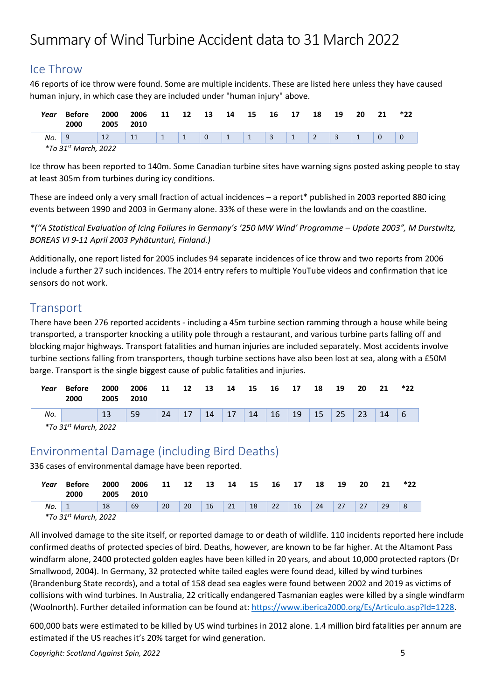### Ice Throw

46 reports of ice throw were found. Some are multiple incidents. These are listed here unless they have caused human injury, in which case they are included under "human injury" above.

| Year | Before<br>2000                   | 2000<br>2005 | 2006<br>2010 | 11           | 12 | - 13        | 14           | 15         | 16              | 17         | 18 | 19 | 20 | 21 | *22 |
|------|----------------------------------|--------------|--------------|--------------|----|-------------|--------------|------------|-----------------|------------|----|----|----|----|-----|
| No.  |                                  | 12           | 11           | $\mathbf{1}$ |    | $\mathbf 0$ | $\mathbf{1}$ | $\sqrt{1}$ | $\vert 3 \vert$ | $\sqrt{1}$ |    |    |    |    |     |
|      | *To 31 <sup>st</sup> March, 2022 |              |              |              |    |             |              |            |                 |            |    |    |    |    |     |

Ice throw has been reported to 140m. Some Canadian turbine sites have warning signs posted asking people to stay at least 305m from turbines during icy conditions.

These are indeed only a very small fraction of actual incidences – a report\* published in 2003 reported 880 icing events between 1990 and 2003 in Germany alone. 33% of these were in the lowlands and on the coastline.

*\*("A Statistical Evaluation of Icing Failures in Germany's '250 MW Wind' Programme – Update 2003", M Durstwitz, BOREAS VI 9-11 April 2003 Pyhätunturi, Finland.)*

Additionally, one report listed for 2005 includes 94 separate incidences of ice throw and two reports from 2006 include a further 27 such incidences. The 2014 entry refers to multiple YouTube videos and confirmation that ice sensors do not work.

### **Transport**

There have been 276 reported accidents - including a 45m turbine section ramming through a house while being transported, a transporter knocking a utility pole through a restaurant, and various turbine parts falling off and blocking major highways. Transport fatalities and human injuries are included separately. Most accidents involve turbine sections falling from transporters, though turbine sections have also been lost at sea, along with a £50M barge. Transport is the single biggest cause of public fatalities and injuries.

| Year | Before<br>2000 | 2000<br>2005 2010 | 2006 11 12 |           | 13 14 15 | 16 17                            | 18 | 19 | -20        | 21         | *22 |
|------|----------------|-------------------|------------|-----------|----------|----------------------------------|----|----|------------|------------|-----|
| No.  |                | 13                | 59         | $24$   17 |          | 14   17   14   16   19   15   25 |    |    | $\vert$ 23 | $\vert$ 14 |     |
|      |                |                   |            |           |          |                                  |    |    |            |            |     |

*\*To 31st March, 2022*

### Environmental Damage (including Bird Deaths)

336 cases of environmental damage have been reported.

| Year | Before<br>2000                   | 2000<br>2005 | 2006<br>2010 | 11 | 12 | 13        | 14 | -15 | 16 | 17 | 18 | 19 | 20 | 21 | *22 |
|------|----------------------------------|--------------|--------------|----|----|-----------|----|-----|----|----|----|----|----|----|-----|
| No.  |                                  | 18           | 69           | 20 | 20 | <b>16</b> | 21 | 18  | 22 | 16 | 24 | 27 | 27 | 29 | 8   |
|      | *To 31 <sup>st</sup> March, 2022 |              |              |    |    |           |    |     |    |    |    |    |    |    |     |

All involved damage to the site itself, or reported damage to or death of wildlife. 110 incidents reported here include confirmed deaths of protected species of bird. Deaths, however, are known to be far higher. At the Altamont Pass windfarm alone, 2400 protected golden eagles have been killed in 20 years, and about 10,000 protected raptors (Dr Smallwood, 2004). In Germany, 32 protected white tailed eagles were found dead, killed by wind turbines (Brandenburg State records), and a total of 158 dead sea eagles were found between 2002 and 2019 as victims of collisions with wind turbines. In Australia, 22 critically endangered Tasmanian eagles were killed by a single windfarm (Woolnorth). Further detailed information can be found at[: https://www.iberica2000.org/Es/Articulo.asp?Id=1228.](https://www.iberica2000.org/Es/Articulo.asp?Id=1228%20)

600,000 bats were estimated to be killed by US wind turbines in 2012 alone. 1.4 million bird fatalities per annum are estimated if the US reaches it's 20% target for wind generation.

*Copyright: Scotland Against Spin, 2022* 5